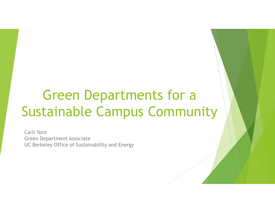# Green Departments for a Sustainable Campus Community

Carli Yoro Green Department Associate UC Berkeley Office of Sustainability and Energy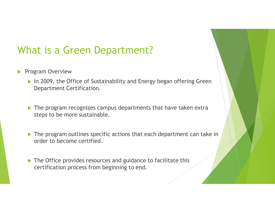# What is a Green Department?

- **Program Overview** 
	- ▶ In 2009, the Office of Sustainability and Energy began offering Green Department Certification.
	- ▶ The program recognizes campus departments that have taken extra steps to be more sustainable.
	- ▶ The program outlines specific actions that each department can take in order to become certified.
	- The Office provides resources and guidance to facilitate this certification process from beginning to end.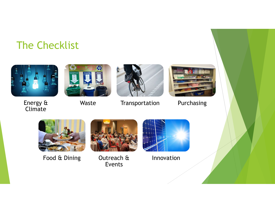# The Checklist



Energy & Waste Climate





Transportation Purchasing





Food & Dining Outreach &



Events



Innovation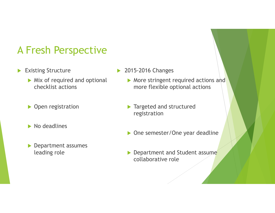### A Fresh Perspective

- Existing Structure
	- $\triangleright$  Mix of required and optional checklist actions
	- ▶ Open registration
	- $\blacktriangleright$  No deadlines
	- **Department assumes** leading role
- 2015-2016 Changes
	- More stringent required actions and more flexible optional actions
	- **Targeted and structured** registration
	- ▶ One semester/One year deadline
	- Department and Student assume collaborative role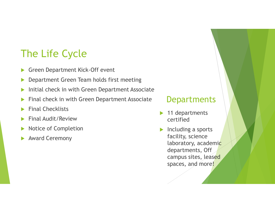# The Life Cycle

- Green Department Kick-Off event
- **Department Green Team holds first meeting**
- Initial check in with Green Department Associate
- Final check in with Green Department Associate
- Final Checklists
- Final Audit/Review
- Notice of Completion
- Award Ceremony

#### **Departments**

- 11 departments certified
- $\blacktriangleright$  Including a sports facility, science laboratory, academic departments, Off campus sites, leased spaces, and more!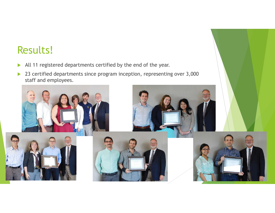### Results!

- All 11 registered departments certified by the end of the year.
- ▶ 23 certified departments since program inception, representing over 3,000 staff and employees.

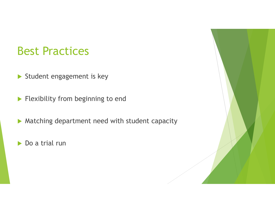# Best Practices

- Student engagement is key
- Flexibility from beginning to end
- $\blacktriangleright$  Matching department need with student capacity
- ▶ Do a trial run

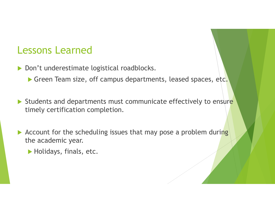### Lessons Learned

- Don't underestimate logistical roadblocks.
	- Green Team size, off campus departments, leased spaces, etc.
- Students and departments must communicate effectively to ensure timely certification completion.
- Account for the scheduling issues that may pose a problem during the academic year.
	- Holidays, finals, etc.